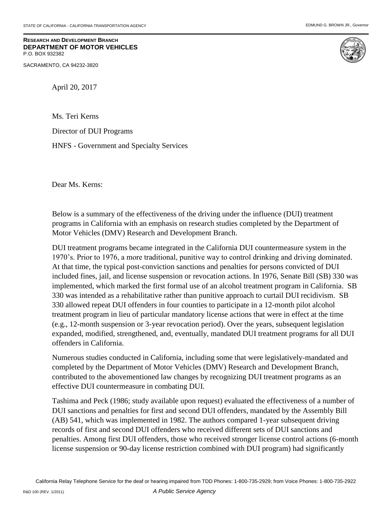**RESEARCH AND DEVELOPMENT BRANCH DEPARTMENT OF MOTOR VEHICLES** P.O. BOX 932382

SACRAMENTO, CA 94232-3820



April 20, 2017

Ms. Teri Kerns

Director of DUI Programs

HNFS - Government and Specialty Services

Dear Ms. Kerns:

Below is a summary of the effectiveness of the driving under the influence (DUI) treatment programs in California with an emphasis on research studies completed by the Department of Motor Vehicles (DMV) Research and Development Branch.

DUI treatment programs became integrated in the California DUI countermeasure system in the 1970's. Prior to 1976, a more traditional, punitive way to control drinking and driving dominated. At that time, the typical post-conviction sanctions and penalties for persons convicted of DUI included fines, jail, and license suspension or revocation actions. In 1976, Senate Bill (SB) 330 was implemented, which marked the first formal use of an alcohol treatment program in California. SB 330 was intended as a rehabilitative rather than punitive approach to curtail DUI recidivism. SB 330 allowed repeat DUI offenders in four counties to participate in a 12-month pilot alcohol treatment program in lieu of particular mandatory license actions that were in effect at the time (e.g., 12-month suspension or 3-year revocation period). Over the years, subsequent legislation expanded, modified, strengthened, and, eventually, mandated DUI treatment programs for all DUI offenders in California.

Numerous studies conducted in California, including some that were legislatively-mandated and completed by the Department of Motor Vehicles (DMV) Research and Development Branch, contributed to the abovementioned law changes by recognizing DUI treatment programs as an effective DUI countermeasure in combating DUI.

Tashima and Peck (1986; study available upon request) evaluated the effectiveness of a number of DUI sanctions and penalties for first and second DUI offenders, mandated by the Assembly Bill (AB) 541, which was implemented in 1982. The authors compared 1-year subsequent driving records of first and second DUI offenders who received different sets of DUI sanctions and penalties. Among first DUI offenders, those who received stronger license control actions (6-month license suspension or 90-day license restriction combined with DUI program) had significantly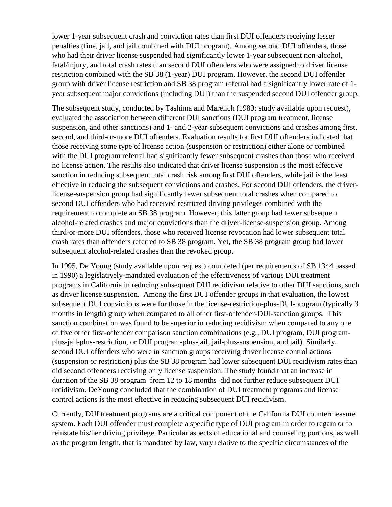lower 1-year subsequent crash and conviction rates than first DUI offenders receiving lesser penalties (fine, jail, and jail combined with DUI program). Among second DUI offenders, those who had their driver license suspended had significantly lower 1-year subsequent non-alcohol, fatal/injury, and total crash rates than second DUI offenders who were assigned to driver license restriction combined with the SB 38 (1-year) DUI program. However, the second DUI offender group with driver license restriction and SB 38 program referral had a significantly lower rate of 1 year subsequent major convictions (including DUI) than the suspended second DUI offender group.

The subsequent study, conducted by Tashima and Marelich (1989; study available upon request), evaluated the association between different DUI sanctions (DUI program treatment, license suspension, and other sanctions) and 1- and 2-year subsequent convictions and crashes among first, second, and third-or-more DUI offenders. Evaluation results for first DUI offenders indicated that those receiving some type of license action (suspension or restriction) either alone or combined with the DUI program referral had significantly fewer subsequent crashes than those who received no license action. The results also indicated that driver license suspension is the most effective sanction in reducing subsequent total crash risk among first DUI offenders, while jail is the least effective in reducing the subsequent convictions and crashes. For second DUI offenders, the driverlicense-suspension group had significantly fewer subsequent total crashes when compared to second DUI offenders who had received restricted driving privileges combined with the requirement to complete an SB 38 program. However, this latter group had fewer subsequent alcohol-related crashes and major convictions than the driver-license-suspension group. Among third-or-more DUI offenders, those who received license revocation had lower subsequent total crash rates than offenders referred to SB 38 program. Yet, the SB 38 program group had lower subsequent alcohol-related crashes than the revoked group.

In 1995, De Young (study available upon request) completed (per requirements of SB 1344 passed in 1990) a legislatively-mandated evaluation of the effectiveness of various DUI treatment programs in California in reducing subsequent DUI recidivism relative to other DUI sanctions, such as driver license suspension. Among the first DUI offender groups in that evaluation, the lowest subsequent DUI convictions were for those in the license-restriction-plus-DUI-program (typically 3 months in length) group when compared to all other first-offender-DUI-sanction groups. This sanction combination was found to be superior in reducing recidivism when compared to any one of five other first-offender comparison sanction combinations (e.g., DUI program, DUI programplus-jail-plus-restriction, or DUI program-plus-jail, jail-plus-suspension, and jail). Similarly, second DUI offenders who were in sanction groups receiving driver license control actions (suspension or restriction) plus the SB 38 program had lower subsequent DUI recidivism rates than did second offenders receiving only license suspension. The study found that an increase in duration of the SB 38 program from 12 to 18 months did not further reduce subsequent DUI recidivism. DeYoung concluded that the combination of DUI treatment programs and license control actions is the most effective in reducing subsequent DUI recidivism.

Currently, DUI treatment programs are a critical component of the California DUI countermeasure system. Each DUI offender must complete a specific type of DUI program in order to regain or to reinstate his/her driving privilege. Particular aspects of educational and counseling portions, as well as the program length, that is mandated by law, vary relative to the specific circumstances of the